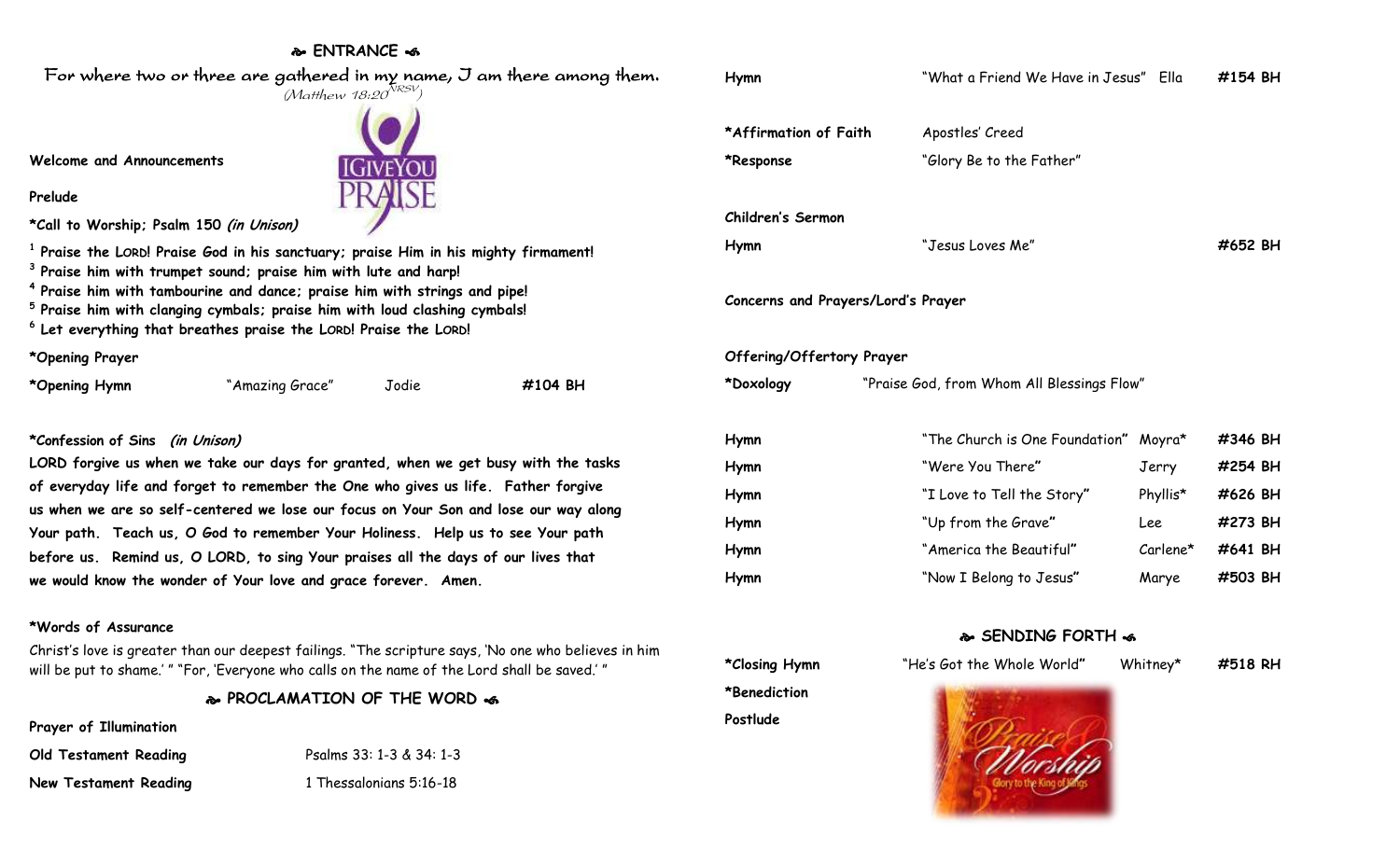## **ENTRANCE**



**\*Opening Prayer**

| *Opening Hymn<br>"Amazing Grace" | Jodie | #104 BH |
|----------------------------------|-------|---------|
|----------------------------------|-------|---------|

## **\*Confession of Sins (in Unison)**

**LORD forgive us when we take our days for granted, when we get busy with the tasks of everyday life and forget to remember the One who gives us life. Father forgive us when we are so self-centered we lose our focus on Your Son and lose our way along Your path. Teach us, O God to remember Your Holiness. Help us to see Your path before us. Remind us, O LORD, to sing Your praises all the days of our lives that we would know the wonder of Your love and grace forever. Amen.**

## **\*Words of Assurance**

Christ's love is greater than our deepest failings. "The scripture says, 'No one who believes in him will be put to shame.' " "For, 'Everyone who calls on the name of the Lord shall be saved.' "

## **PROCLAMATION OF THE WORD**

**Prayer of Illumination**

| Old Testament Reading        | Psalms 33: 1-3 & 34: 1-3 |
|------------------------------|--------------------------|
| <b>New Testament Reading</b> | 1 Thessalonians 5:16-18  |

**Hymn** "What a Friend We Have in Jesus" Ella **#154 BH** \*Affirmation of Faith Apostles' Creed **\*Response** "Glory Be to the Father" **Children's Sermon Hymn** "Jesus Loves Me" **#652 BH Concerns and Prayers/Lord's Prayer Offering/Offertory Prayer \*Doxology** "Praise God, from Whom All Blessings Flow" **Hymn** "The Church is One Foundation**"** Moyra\* **#346 BH Hymn** "Were You There**"** Jerry **#254 BH Hymn** "I Love to Tell the Story**"** Phyllis\* **#626 BH Hymn** "Up from the Grave**"** Lee **#273 BH Hymn** "America the Beautiful**"** Carlene\* **#641 BH Hymn** "Now I Belong to Jesus**"** Marye **#503 BH SENDING FORTH**  $\infty$ **\*Closing Hymn** "He's Got the Whole World**"** Whitney\* **#518 RH \*Benediction**

**Postlude**